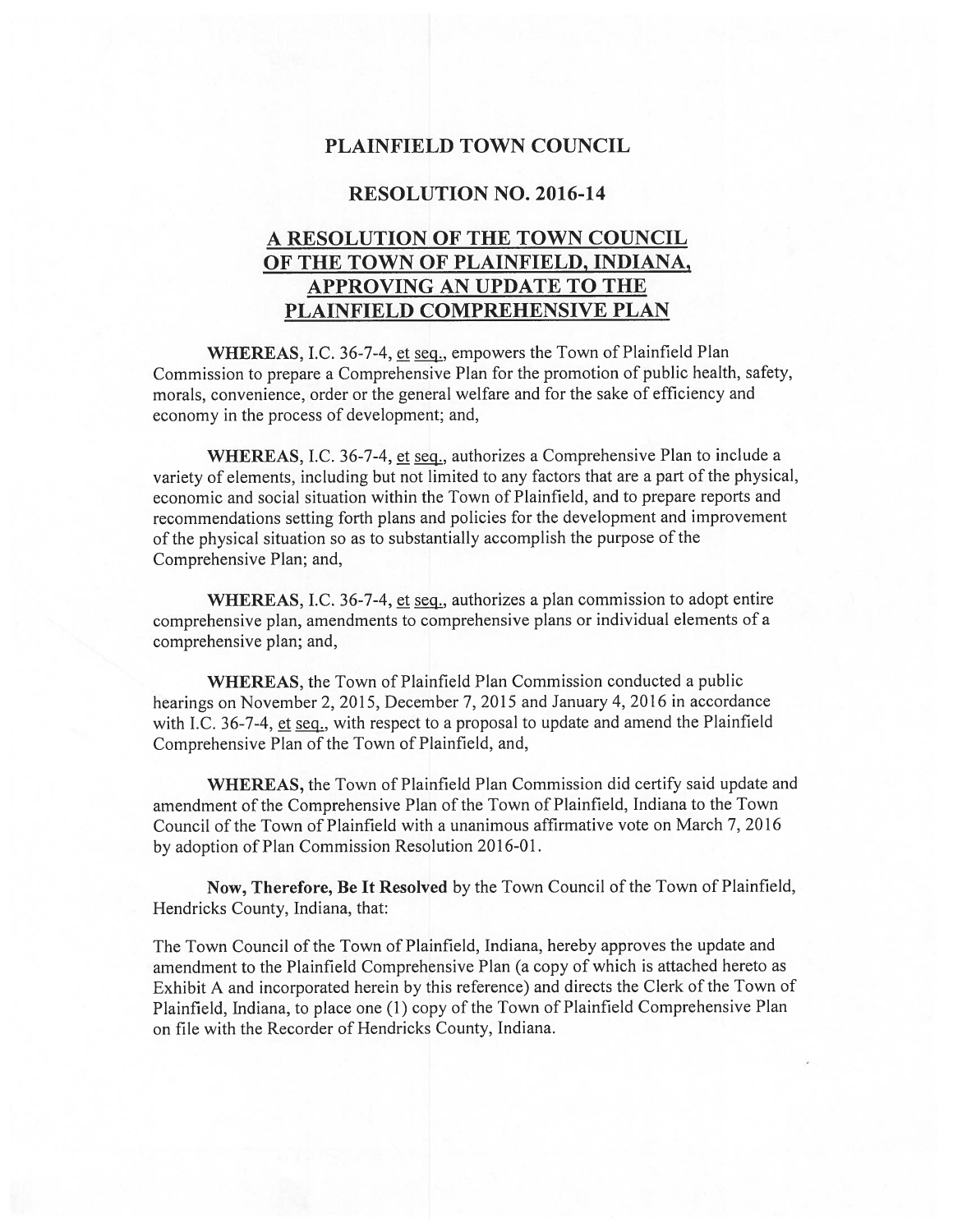## PLAINFIELD TOWN COUNCIL

## RESOLUTION NO. 2016-14

## A RESOLUTION OF THE TOWN COUNCIL OF THE TOWN OF PLAINFIELD, INDIANA, APPROVING AN UPDATE TO THE PLAINFIELD COMPREHENSIVE PLAN

WHEREAS, I.C. 36-7-4, et seq., empowers the Town of Plainfield Plan Commission to prepare a Comprehensive Plan for the promotion of public health, safety, morals, convenience, order or the general welfare and for the sake of efficiency and economy in the process of development; and,

WHEREAS, I.C. 36-7-4, et seq., authorizes a Comprehensive Plan to include a variety of elements, including but not limited to any factors that arc a part of the physical, economic and social situation within the Town of Plainfield, and to prepare reports and recommendations setting forth plans and policies for the development and improvement of the physical situation so as to substantially accomplish the purpose of the Comprehensive Plan; and,

WHEREAS, I.C. 36-7-4, et seq., authorizes a plan commission to adopt entire comprehensive plan, amendments to comprehensive plans or individual elements of a comprehensive plan; and,

WHEREAS, the Town of Plainfield Plan Commission conducted a public hearings on November 2, 2015, December 7, 2015 and January 4, 2016 in accordance with I.C. 36-7-4, et seq., with respect to a proposal to update and amend the Plainfield Comprehensive Plan of the Town of Plainfield, and,

WHEREAS, the Town of Plainfield Plan Commission did certify said update and amendment of the Comprehensive Plan of the Town of Plainfield, Indiana to the Town Council of the Town of Plainfield with a unanimous affirmative vote on March 7, 2016 by adoption of Plan Commission Resolution 2016-01.

Now, Therefore, Be It Resolved by the Town Council of the Town of Plainfield, Hendricks County, Indiana, that:

The Town Council of the Town of Plainfield, Indiana, hereby approves the update and amendment to the Plainfield Comprehensive Plan (a copy of which is attached hereto as Exhibit A and incorporated herein by this reference) and directs the Clerk of the Town of Plainfield, Indiana. to place one (1) copy of the Town of Plainfield Comprehensive Plan on file with the Recorder of Hendricks County, Indiana.